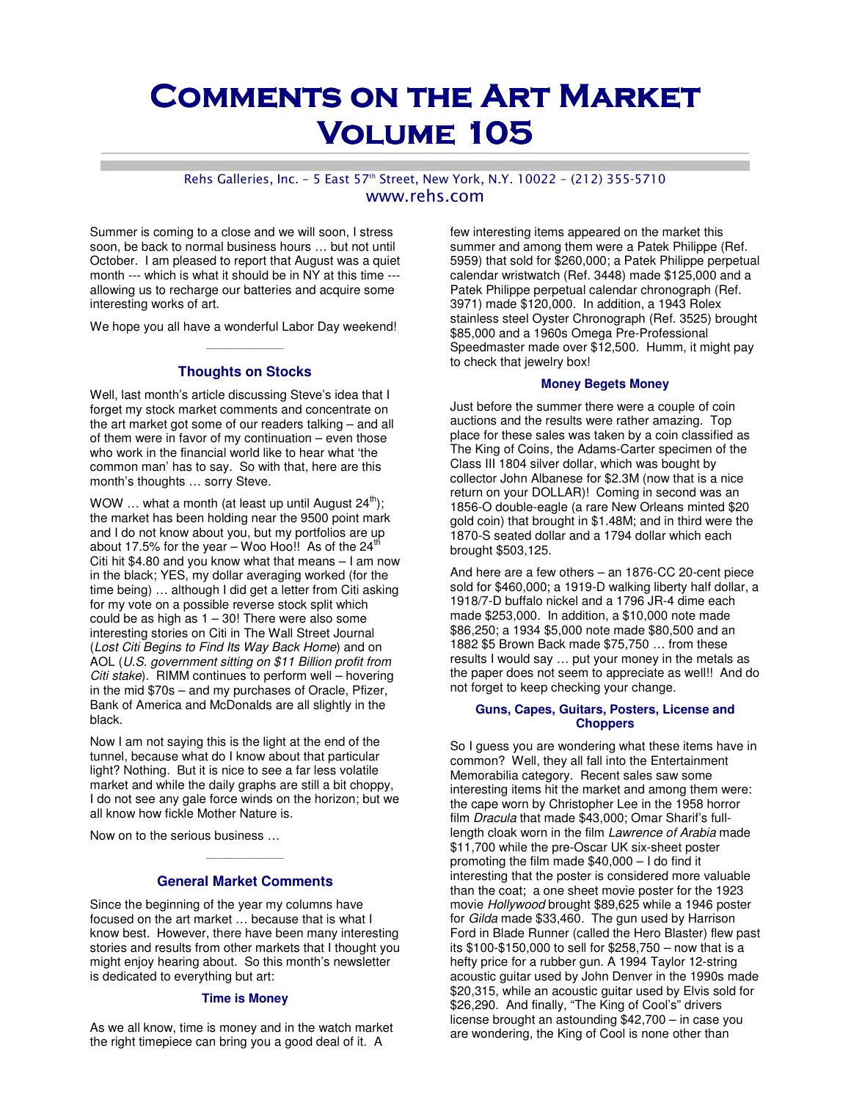# **COMMENTS ON THE ART MARKET VOLUME 105**

#### Rehs Galleries, Inc. - 5 East 57th Street, New York, N.Y. 10022 - (212) 355-5710 www.rehs.com

Summer is coming to a close and we will soon, I stress soon, be back to normal business hours … but not until October. I am pleased to report that August was a quiet month --- which is what it should be in NY at this time -- allowing us to recharge our batteries and acquire some interesting works of art.

We hope you all have a wonderful Labor Day weekend!  $\mathcal{L}_\text{max}$  and  $\mathcal{L}_\text{max}$  are the set of the set of the set of the set of the set of the set of the set of the set of the set of the set of the set of the set of the set of the set of the set of the set of the set o

#### **Thoughts on Stocks**

Well, last month's article discussing Steve's idea that I forget my stock market comments and concentrate on the art market got some of our readers talking – and all of them were in favor of my continuation – even those who work in the financial world like to hear what 'the common man' has to say. So with that, here are this month's thoughts … sorry Steve.

WOW ... what a month (at least up until August  $24^{th}$ ); the market has been holding near the 9500 point mark and I do not know about you, but my portfolios are up about 17.5% for the year – Woo Hoo!! As of the  $24<sup>th</sup>$ Citi hit \$4.80 and you know what that means – I am now in the black; YES, my dollar averaging worked (for the time being) … although I did get a letter from Citi asking for my vote on a possible reverse stock split which could be as high as  $1 - 30!$  There were also some interesting stories on Citi in The Wall Street Journal (Lost Citi Begins to Find Its Way Back Home) and on AOL (U.S. government sitting on \$11 Billion profit from Citi stake). RIMM continues to perform well – hovering in the mid \$70s – and my purchases of Oracle, Pfizer, Bank of America and McDonalds are all slightly in the black.

Now I am not saying this is the light at the end of the tunnel, because what do I know about that particular light? Nothing. But it is nice to see a far less volatile market and while the daily graphs are still a bit choppy, I do not see any gale force winds on the horizon; but we all know how fickle Mother Nature is.

Now on to the serious business …

## \_\_\_\_\_\_\_\_\_\_\_\_\_\_\_\_\_\_\_\_ **General Market Comments**

Since the beginning of the year my columns have focused on the art market … because that is what I know best. However, there have been many interesting stories and results from other markets that I thought you might enjoy hearing about. So this month's newsletter is dedicated to everything but art:

#### **Time is Money**

As we all know, time is money and in the watch market the right timepiece can bring you a good deal of it. A

few interesting items appeared on the market this summer and among them were a Patek Philippe (Ref. 5959) that sold for \$260,000; a Patek Philippe perpetual calendar wristwatch (Ref. 3448) made \$125,000 and a Patek Philippe perpetual calendar chronograph (Ref. 3971) made \$120,000. In addition, a 1943 Rolex stainless steel Oyster Chronograph (Ref. 3525) brought \$85,000 and a 1960s Omega Pre-Professional Speedmaster made over \$12,500. Humm, it might pay to check that jewelry box!

#### **Money Begets Money**

Just before the summer there were a couple of coin auctions and the results were rather amazing. Top place for these sales was taken by a coin classified as The King of Coins, the Adams-Carter specimen of the Class III 1804 silver dollar, which was bought by collector John Albanese for \$2.3M (now that is a nice return on your DOLLAR)! Coming in second was an 1856-O double-eagle (a rare New Orleans minted \$20 gold coin) that brought in \$1.48M; and in third were the 1870-S seated dollar and a 1794 dollar which each brought \$503,125.

And here are a few others – an 1876-CC 20-cent piece sold for \$460,000; a 1919-D walking liberty half dollar, a 1918/7-D buffalo nickel and a 1796 JR-4 dime each made \$253,000. In addition, a \$10,000 note made \$86,250; a 1934 \$5,000 note made \$80,500 and an 1882 \$5 Brown Back made \$75,750 … from these results I would say … put your money in the metals as the paper does not seem to appreciate as well!! And do not forget to keep checking your change.

#### **Guns, Capes, Guitars, Posters, License and Choppers**

So I guess you are wondering what these items have in common? Well, they all fall into the Entertainment Memorabilia category. Recent sales saw some interesting items hit the market and among them were: the cape worn by Christopher Lee in the 1958 horror film Dracula that made \$43,000; Omar Sharif's fulllength cloak worn in the film Lawrence of Arabia made \$11,700 while the pre-Oscar UK six-sheet poster promoting the film made \$40,000 – I do find it interesting that the poster is considered more valuable than the coat; a one sheet movie poster for the 1923 movie Hollywood brought \$89,625 while a 1946 poster for Gilda made \$33,460. The gun used by Harrison Ford in Blade Runner (called the Hero Blaster) flew past its \$100-\$150,000 to sell for \$258,750 – now that is a hefty price for a rubber gun. A 1994 Taylor 12-string acoustic guitar used by John Denver in the 1990s made \$20,315, while an acoustic guitar used by Elvis sold for \$26,290. And finally, "The King of Cool's" drivers license brought an astounding \$42,700 – in case you are wondering, the King of Cool is none other than